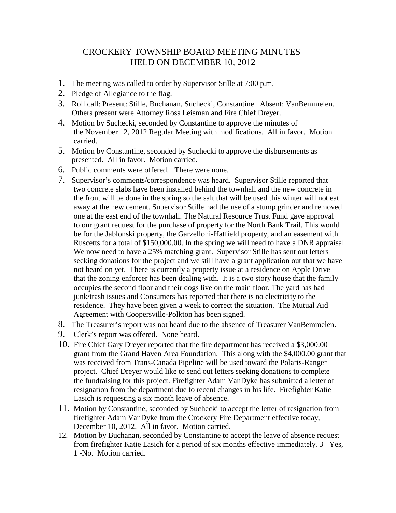## CROCKERY TOWNSHIP BOARD MEETING MINUTES HELD ON DECEMBER 10, 2012

- 1. The meeting was called to order by Supervisor Stille at 7:00 p.m.
- 2. Pledge of Allegiance to the flag.
- 3. Roll call: Present: Stille, Buchanan, Suchecki, Constantine. Absent: VanBemmelen. Others present were Attorney Ross Leisman and Fire Chief Dreyer.
- 4. Motion by Suchecki, seconded by Constantine to approve the minutes of the November 12, 2012 Regular Meeting with modifications. All in favor. Motion carried.
- 5. Motion by Constantine, seconded by Suchecki to approve the disbursements as presented. All in favor. Motion carried.
- 6. Public comments were offered. There were none.
- 7. Supervisor's comments/correspondence was heard. Supervisor Stille reported that two concrete slabs have been installed behind the townhall and the new concrete in the front will be done in the spring so the salt that will be used this winter will not eat away at the new cement. Supervisor Stille had the use of a stump grinder and removed one at the east end of the townhall. The Natural Resource Trust Fund gave approval to our grant request for the purchase of property for the North Bank Trail. This would be for the Jablonski property, the Garzelloni-Hatfield property, and an easement with Ruscetts for a total of \$150,000.00. In the spring we will need to have a DNR appraisal. We now need to have a 25% matching grant. Supervisor Stille has sent out letters seeking donations for the project and we still have a grant application out that we have not heard on yet. There is currently a property issue at a residence on Apple Drive that the zoning enforcer has been dealing with. It is a two story house that the family occupies the second floor and their dogs live on the main floor. The yard has had junk/trash issues and Consumers has reported that there is no electricity to the residence. They have been given a week to correct the situation. The Mutual Aid Agreement with Coopersville-Polkton has been signed.
- 8. The Treasurer's report was not heard due to the absence of Treasurer VanBemmelen.
- 9. Clerk's report was offered. None heard.
- 10. Fire Chief Gary Dreyer reported that the fire department has received a \$3,000.00 grant from the Grand Haven Area Foundation. This along with the \$4,000.00 grant that was received from Trans-Canada Pipeline will be used toward the Polaris-Ranger project. Chief Dreyer would like to send out letters seeking donations to complete the fundraising for this project. Firefighter Adam VanDyke has submitted a letter of resignation from the department due to recent changes in his life. Firefighter Katie Lasich is requesting a six month leave of absence.
- 11. Motion by Constantine, seconded by Suchecki to accept the letter of resignation from firefighter Adam VanDyke from the Crockery Fire Department effective today, December 10, 2012. All in favor. Motion carried.
- 12. Motion by Buchanan, seconded by Constantine to accept the leave of absence request from firefighter Katie Lasich for a period of six months effective immediately. 3 –Yes, 1 -No. Motion carried.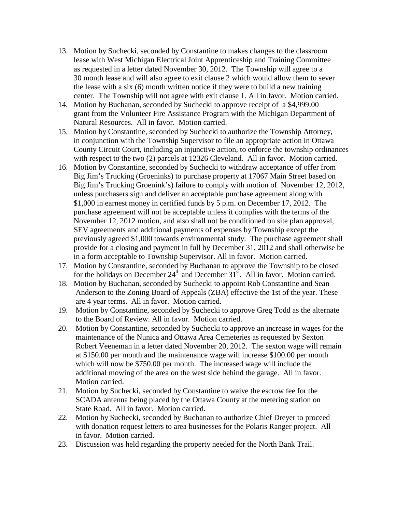- 13. Motion by Suchecki, seconded by Constantine to makes changes to the classroom lease with West Michigan Electrical Joint Apprenticeship and Training Committee as requested in a letter dated November 30, 2012. The Township will agree to a 30 month lease and will also agree to exit clause 2 which would allow them to sever the lease with a six (6) month written notice if they were to build a new training center. The Township will not agree with exit clause 1. All in favor. Motion carried.
- 14. Motion by Buchanan, seconded by Suchecki to approve receipt of a \$4,999.00 grant from the Volunteer Fire Assistance Program with the Michigan Department of Natural Resources. All in favor. Motion carried.
- 15. Motion by Constantine, seconded by Suchecki to authorize the Township Attorney, in conjunction with the Township Supervisor to file an appropriate action in Ottawa County Circuit Court, including an injunctive action, to enforce the township ordinances with respect to the two (2) parcels at 12326 Cleveland. All in favor. Motion carried.
- 16. Motion by Constantine, seconded by Suchecki to withdraw acceptance of offer from Big Jim's Trucking (Groeninks) to purchase property at 17067 Main Street based on Big Jim's Trucking Groenink's) failure to comply with motion of November 12, 2012, unless purchasers sign and deliver an acceptable purchase agreement along with \$1,000 in earnest money in certified funds by 5 p.m. on December 17, 2012. The purchase agreement will not be acceptable unless it complies with the terms of the November 12, 2012 motion, and also shall not be conditioned on site plan approval, SEV agreements and additional payments of expenses by Township except the previously agreed \$1,000 towards environmental study. The purchase agreement shall provide for a closing and payment in full by December 31, 2012 and shall otherwise be in a form acceptable to Township Supervisor. All in favor. Motion carried.
- 17. Motion by Constantine, seconded by Buchanan to approve the Township to be closed for the holidays on December  $24<sup>th</sup>$  and December  $31<sup>st</sup>$ . All in favor. Motion carried.
- 18. Motion by Buchanan, seconded by Suchecki to appoint Rob Constantine and Sean Anderson to the Zoning Board of Appeals (ZBA) effective the 1st of the year. These are 4 year terms. All in favor. Motion carried.
- 19. Motion by Constantine, seconded by Suchecki to approve Greg Todd as the alternate to the Board of Review. All in favor. Motion carried.
- 20. Motion by Constantine, seconded by Suchecki to approve an increase in wages for the maintenance of the Nunica and Ottawa Area Cemeteries as requested by Sexton Robert Veeneman in a letter dated November 20, 2012. The sexton wage will remain at \$150.00 per month and the maintenance wage will increase \$100.00 per month which will now be \$750.00 per month. The increased wage will include the additional mowing of the area on the west side behind the garage. All in favor. Motion carried.
- 21. Motion by Suchecki, seconded by Constantine to waive the escrow fee for the SCADA antenna being placed by the Ottawa County at the metering station on State Road. All in favor. Motion carried.
- 22. Motion by Suchecki, seconded by Buchanan to authorize Chief Dreyer to proceed with donation request letters to area businesses for the Polaris Ranger project. All in favor. Motion carried.
- 23. Discussion was held regarding the property needed for the North Bank Trail.